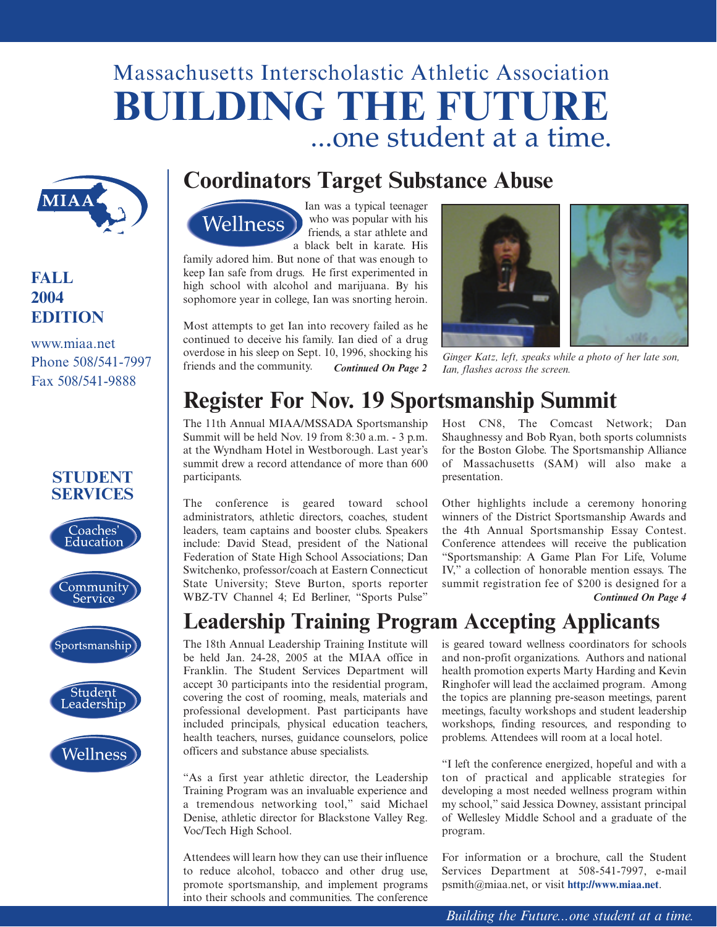# Massachusetts Interscholastic Athletic Association **BUILDING THE FUTURE** ...one student at a time.



### **FALL 2004 EDITION**

www.miaa.net Phone 508/541-7997 Fax 508/541-9888









## **Coordinators Target Substance Abuse**



Ian was a typical teenager who was popular with his friends, a star athlete and a black belt in karate. His

family adored him. But none of that was enough to keep Ian safe from drugs. He first experimented in high school with alcohol and marijuana. By his sophomore year in college, Ian was snorting heroin.

Most attempts to get Ian into recovery failed as he continued to deceive his family. Ian died of a drug overdose in his sleep on Sept. 10, 1996, shocking his overdose in his sleep on Sept. 10, 1996, shocking his *Ginger Katz, left, speaks while a photo of her late son,*<br>friends and the community. *Continued On Page 2 Ian, flashes across the screen.* 



*Ian, flashes across the screen.* 

# **Register For Nov. 19 Sportsmanship Summit**

The 11th Annual MIAA/MSSADA Sportsmanship Summit will be held Nov. 19 from 8:30 a.m. - 3 p.m. at the Wyndham Hotel in Westborough. Last year's summit drew a record attendance of more than 600 participants.

The conference is geared toward school administrators, athletic directors, coaches, student leaders, team captains and booster clubs. Speakers include: David Stead, president of the National Federation of State High School Associations; Dan Switchenko, professor/coach at Eastern Connecticut State University; Steve Burton, sports reporter WBZ-TV Channel 4; Ed Berliner, "Sports Pulse"

Host CN8, The Comcast Network; Dan Shaughnessy and Bob Ryan, both sports columnists for the Boston Globe. The Sportsmanship Alliance of Massachusetts (SAM) will also make a presentation.

Other highlights include a ceremony honoring winners of the District Sportsmanship Awards and the 4th Annual Sportsmanship Essay Contest. Conference attendees will receive the publication "Sportsmanship: A Game Plan For Life, Volume IV," a collection of honorable mention essays. The summit registration fee of \$200 is designed for a *Continued On Page 4*

## **Leadership Training Program Accepting Applicants**

The 18th Annual Leadership Training Institute will be held Jan. 24-28, 2005 at the MIAA office in Franklin. The Student Services Department will accept 30 participants into the residential program, covering the cost of rooming, meals, materials and professional development. Past participants have included principals, physical education teachers, health teachers, nurses, guidance counselors, police officers and substance abuse specialists.

"As a first year athletic director, the Leadership Training Program was an invaluable experience and a tremendous networking tool," said Michael Denise, athletic director for Blackstone Valley Reg. Voc/Tech High School.

Attendees will learn how they can use their influence to reduce alcohol, tobacco and other drug use, promote sportsmanship, and implement programs into their schools and communities. The conference is geared toward wellness coordinators for schools and non-profit organizations. Authors and national health promotion experts Marty Harding and Kevin Ringhofer will lead the acclaimed program. Among the topics are planning pre-season meetings, parent meetings, faculty workshops and student leadership workshops, finding resources, and responding to problems. Attendees will room at a local hotel.

"I left the conference energized, hopeful and with a ton of practical and applicable strategies for developing a most needed wellness program within my school," said Jessica Downey, assistant principal of Wellesley Middle School and a graduate of the program.

For information or a brochure, call the Student Services Department at 508-541-7997, e-mail psmith@miaa.net, or visit **<http://www.miaa.net>**.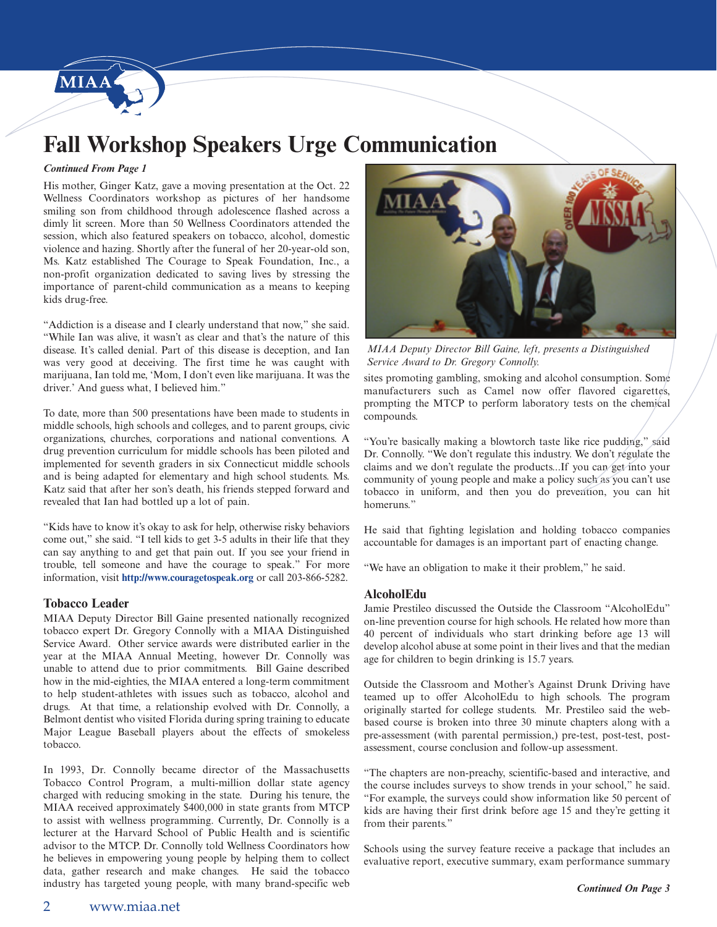

## **Fall Workshop Speakers Urge Communication**

#### *Continued From Page 1*

His mother, Ginger Katz, gave a moving presentation at the Oct. 22 Wellness Coordinators workshop as pictures of her handsome smiling son from childhood through adolescence flashed across a dimly lit screen. More than 50 Wellness Coordinators attended the session, which also featured speakers on tobacco, alcohol, domestic violence and hazing. Shortly after the funeral of her 20-year-old son, Ms. Katz established The Courage to Speak Foundation, Inc., a non-profit organization dedicated to saving lives by stressing the importance of parent-child communication as a means to keeping kids drug-free.

"Addiction is a disease and I clearly understand that now," she said. "While Ian was alive, it wasn't as clear and that's the nature of this disease. It's called denial. Part of this disease is deception, and Ian was very good at deceiving. The first time he was caught with marijuana, Ian told me, 'Mom, I don't even like marijuana. It was the driver.' And guess what, I believed him."

To date, more than 500 presentations have been made to students in middle schools, high schools and colleges, and to parent groups, civic organizations, churches, corporations and national conventions. A drug prevention curriculum for middle schools has been piloted and implemented for seventh graders in six Connecticut middle schools and is being adapted for elementary and high school students. Ms. Katz said that after her son's death, his friends stepped forward and revealed that Ian had bottled up a lot of pain.

"Kids have to know it's okay to ask for help, otherwise risky behaviors come out," she said. "I tell kids to get 3-5 adults in their life that they can say anything to and get that pain out. If you see your friend in trouble, tell someone and have the courage to speak." For more information, visit **<http://www.couragetospeak.org>** or call 203-866-5282.

#### **Tobacco Leader**

MIAA Deputy Director Bill Gaine presented nationally recognized tobacco expert Dr. Gregory Connolly with a MIAA Distinguished Service Award. Other service awards were distributed earlier in the year at the MIAA Annual Meeting, however Dr. Connolly was unable to attend due to prior commitments. Bill Gaine described how in the mid-eighties, the MIAA entered a long-term commitment to help student-athletes with issues such as tobacco, alcohol and drugs. At that time, a relationship evolved with Dr. Connolly, a Belmont dentist who visited Florida during spring training to educate Major League Baseball players about the effects of smokeless tobacco.

In 1993, Dr. Connolly became director of the Massachusetts Tobacco Control Program, a multi-million dollar state agency charged with reducing smoking in the state. During his tenure, the MIAA received approximately \$400,000 in state grants from MTCP to assist with wellness programming. Currently, Dr. Connolly is a lecturer at the Harvard School of Public Health and is scientific advisor to the MTCP. Dr. Connolly told Wellness Coordinators how he believes in empowering young people by helping them to collect data, gather research and make changes. He said the tobacco industry has targeted young people, with many brand-specific web



*MIAA Deputy Director Bill Gaine, left, presents a Distinguished Service Award to Dr. Gregory Connolly.*

sites promoting gambling, smoking and alcohol consumption. Some manufacturers such as Camel now offer flavored cigarettes, prompting the MTCP to perform laboratory tests on the chemical compounds.

"You're basically making a blowtorch taste like rice pudding," said Dr. Connolly. "We don't regulate this industry. We don't regulate the claims and we don't regulate the products...If you can get into your community of young people and make a policy such as you can't use tobacco in uniform, and then you do prevention, you can hit homeruns."

He said that fighting legislation and holding tobacco companies accountable for damages is an important part of enacting change.

"We have an obligation to make it their problem," he said.

#### **AlcoholEdu**

Jamie Prestileo discussed the Outside the Classroom "AlcoholEdu" on-line prevention course for high schools. He related how more than 40 percent of individuals who start drinking before age 13 will develop alcohol abuse at some point in their lives and that the median age for children to begin drinking is 15.7 years.

Outside the Classroom and Mother's Against Drunk Driving have teamed up to offer AlcoholEdu to high schools. The program originally started for college students. Mr. Prestileo said the webbased course is broken into three 30 minute chapters along with a pre-assessment (with parental permission,) pre-test, post-test, postassessment, course conclusion and follow-up assessment.

"The chapters are non-preachy, scientific-based and interactive, and the course includes surveys to show trends in your school," he said. "For example, the surveys could show information like 50 percent of kids are having their first drink before age 15 and they're getting it from their parents."

Schools using the survey feature receive a package that includes an evaluative report, executive summary, exam performance summary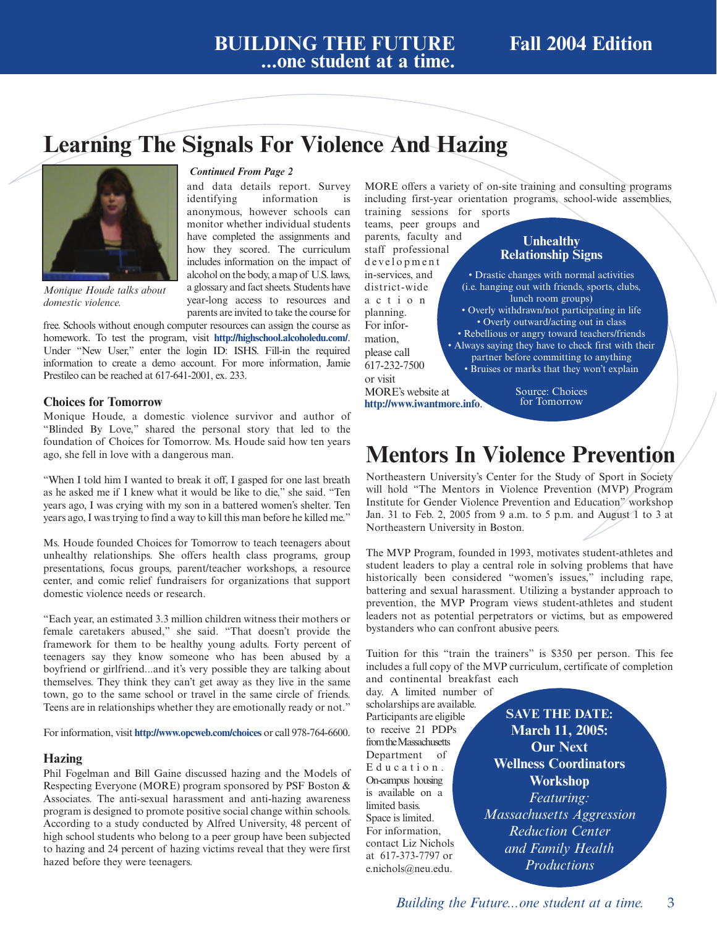## **Learning The Signals For Violence And Hazing**



*Monique Houde talks about domestic violence.*

#### *Continued From Page 2*

and data details report. Survey identifying information is anonymous, however schools can monitor whether individual students have completed the assignments and how they scored. The curriculum includes information on the impact of alcohol on the body, a map of U.S. laws, a glossary and fact sheets. Students have year-long access to resources and parents are invited to take the course for

free. Schools without enough computer resources can assign the course as homework. To test the program, visit **<http://highschool.alcoholedu.com/>**. Under "New User," enter the login ID: ISHS. Fill-in the required information to create a demo account. For more information, Jamie Prestileo can be reached at 617-641-2001, ex. 233.

### **Choices for Tomorrow**

Monique Houde, a domestic violence survivor and author of "Blinded By Love," shared the personal story that led to the foundation of Choices for Tomorrow. Ms. Houde said how ten years ago, she fell in love with a dangerous man.

"When I told him I wanted to break it off, I gasped for one last breath as he asked me if I knew what it would be like to die," she said. "Ten years ago, I was crying with my son in a battered women's shelter. Ten years ago, I was trying to find a way to kill this man before he killed me."

Ms. Houde founded Choices for Tomorrow to teach teenagers about unhealthy relationships. She offers health class programs, group presentations, focus groups, parent/teacher workshops, a resource center, and comic relief fundraisers for organizations that support domestic violence needs or research.

"Each year, an estimated 3.3 million children witness their mothers or female caretakers abused," she said. "That doesn't provide the framework for them to be healthy young adults. Forty percent of teenagers say they know someone who has been abused by a boyfriend or girlfriend...and it's very possible they are talking about themselves. They think they can't get away as they live in the same town, go to the same school or travel in the same circle of friends. Teens are in relationships whether they are emotionally ready or not."

For information, visit **<http://www.opcweb.com/choices>** or call 978-764-6600.

### **Hazing**

Phil Fogelman and Bill Gaine discussed hazing and the Models of Respecting Everyone (MORE) program sponsored by PSF Boston & Associates. The anti-sexual harassment and anti-hazing awareness program is designed to promote positive social change within schools. According to a study conducted by Alfred University, 48 percent of high school students who belong to a peer group have been subjected to hazing and 24 percent of hazing victims reveal that they were first hazed before they were teenagers.

MORE offers a variety of on-site training and consulting programs including first-year orientation programs, school-wide assemblies, training sessions for sports

teams, peer groups and parents, faculty and

staff professional development in-services, and district-wide action planning. For information, please call 617-232-7500 or visit MORE's website at **<http://www.iwantmore.info>**.

### **Unhealthy Relationship Signs**

• Drastic changes with normal activities (i.e. hanging out with friends, sports, clubs, lunch room groups) • Overly withdrawn/not participating in life • Overly outward/acting out in class • Rebellious or angry toward teachers/friends • Always saying they have to check first with their partner before committing to anything • Bruises or marks that they won't explain

> Source: Choices for Tomorrow

## **Mentors In Violence Prevention**

Northeastern University's Center for the Study of Sport in Society will hold "The Mentors in Violence Prevention (MVP) Program Institute for Gender Violence Prevention and Education" workshop Jan. 31 to Feb. 2, 2005 from 9 a.m. to 5 p.m. and August 1 to 3 at Northeastern University in Boston.

The MVP Program, founded in 1993, motivates student-athletes and student leaders to play a central role in solving problems that have historically been considered "women's issues," including rape, battering and sexual harassment. Utilizing a bystander approach to prevention, the MVP Program views student-athletes and student leaders not as potential perpetrators or victims, but as empowered bystanders who can confront abusive peers.

Tuition for this "train the trainers" is \$350 per person. This fee includes a full copy of the MVP curriculum, certificate of completion

and continental breakfast each day. A limited number of

scholarships are available. Participants are eligible to receive 21 PDPs from the Massachusetts Department of Education. On-campus housing is available on a limited basis. Space is limited. For information, contact Liz Nichols at 617-373-7797 or e.nichols@neu.edu.

**SAVE THE DATE: March 11, 2005: Our Next Wellness Coordinators Workshop**  *Featuring: Massachusetts Aggression Reduction Center and Family Health Productions*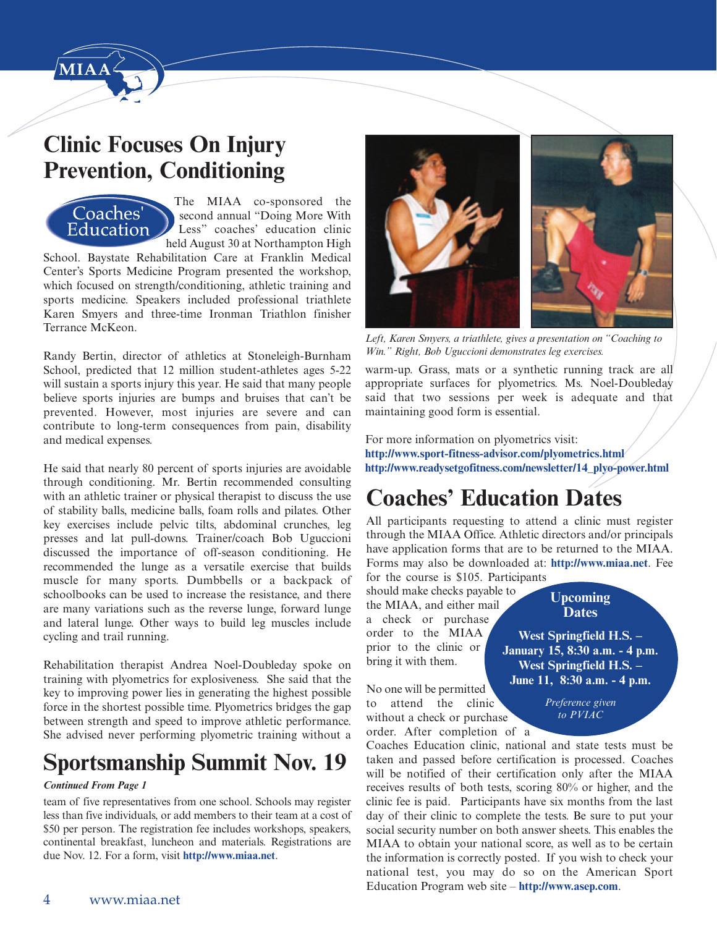

## **Clinic Focuses On Injury Prevention, Conditioning**



The MIAA co-sponsored the second annual "Doing More With Less" coaches' education clinic held August 30 at Northampton High

School. Baystate Rehabilitation Care at Franklin Medical Center's Sports Medicine Program presented the workshop, which focused on strength/conditioning, athletic training and sports medicine. Speakers included professional triathlete Karen Smyers and three-time Ironman Triathlon finisher Terrance McKeon.

Randy Bertin, director of athletics at Stoneleigh-Burnham School, predicted that 12 million student-athletes ages 5-22 will sustain a sports injury this year. He said that many people believe sports injuries are bumps and bruises that can't be prevented. However, most injuries are severe and can contribute to long-term consequences from pain, disability and medical expenses.

He said that nearly 80 percent of sports injuries are avoidable through conditioning. Mr. Bertin recommended consulting with an athletic trainer or physical therapist to discuss the use of stability balls, medicine balls, foam rolls and pilates. Other key exercises include pelvic tilts, abdominal crunches, leg presses and lat pull-downs. Trainer/coach Bob Uguccioni discussed the importance of off-season conditioning. He recommended the lunge as a versatile exercise that builds muscle for many sports. Dumbbells or a backpack of schoolbooks can be used to increase the resistance, and there are many variations such as the reverse lunge, forward lunge and lateral lunge. Other ways to build leg muscles include cycling and trail running.

Rehabilitation therapist Andrea Noel-Doubleday spoke on training with plyometrics for explosiveness. She said that the key to improving power lies in generating the highest possible force in the shortest possible time. Plyometrics bridges the gap between strength and speed to improve athletic performance. She advised never performing plyometric training without a

## **Sportsmanship Summit Nov. 19**

### *Continued From Page 1*

team of five representatives from one school. Schools may register less than five individuals, or add members to their team at a cost of \$50 per person. The registration fee includes workshops, speakers, continental breakfast, luncheon and materials. Registrations are due Nov. 12. For a form, visit **[http://www.miaa.net](http://www.miaa.net.)**.



*Left, Karen Smyers, a triathlete, gives a presentation on "Coaching to Win." Right, Bob Uguccioni demonstrates leg exercises.*

warm-up. Grass, mats or a synthetic running track are all appropriate surfaces for plyometrics. Ms. Noel-Doubleday said that two sessions per week is adequate and that maintaining good form is essential.

For more information on plyometrics visit: **<http://www.sport-fitness-advisor.com/plyometrics.html> [http://www.readysetgofitness.com/newsletter/14\\_plyo-power.html](http://www.readysetgofitness.com/newsletter/14_plyo-power.html)**

# **Coaches' Education Dates**

All participants requesting to attend a clinic must register through the MIAA Office. Athletic directors and/or principals have application forms that are to be returned to the MIAA. Forms may also be downloaded at: **<http://www.miaa.net>**. Fee for the course is \$105. Participants

should make checks payable to the MIAA, and either mail a check or purchase order to the MIAA prior to the clinic or bring it with them.

**West Springfield H.S. – January 15, 8:30 a.m. - 4 p.m. West Springfield H.S. – June 11, 8:30 a.m. - 4 p.m.**

> *Preference given to PVIAC*

**Upcoming Dates**

No one will be permitted to attend the clinic without a check or purchase order. After completion of a

Coaches Education clinic, national and state tests must be taken and passed before certification is processed. Coaches will be notified of their certification only after the MIAA receives results of both tests, scoring 80% or higher, and the clinic fee is paid. Participants have six months from the last day of their clinic to complete the tests. Be sure to put your social security number on both answer sheets. This enables the MIAA to obtain your national score, as well as to be certain the information is correctly posted. If you wish to check your national test, you may do so on the American Sport Education Program web site – **<http://www.asep.com>**.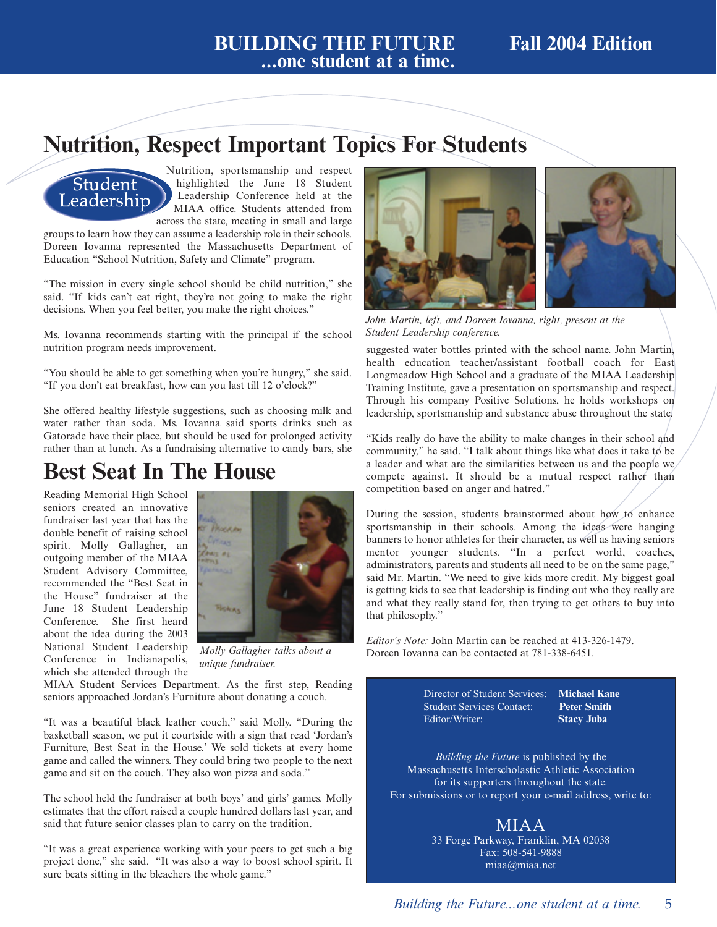### **BUILDING THE FUTURE Fall 2004 Edition ...one student at a time.**

## **Nutrition, Respect Important Topics For Students**

## Student Leadership

Nutrition, sportsmanship and respect highlighted the June 18 Student Leadership Conference held at the MIAA office. Students attended from across the state, meeting in small and large

groups to learn how they can assume a leadership role in their schools. Doreen Iovanna represented the Massachusetts Department of Education "School Nutrition, Safety and Climate" program.

"The mission in every single school should be child nutrition," she said. "If kids can't eat right, they're not going to make the right decisions. When you feel better, you make the right choices."

Ms. Iovanna recommends starting with the principal if the school nutrition program needs improvement.

"You should be able to get something when you're hungry," she said. "If you don't eat breakfast, how can you last till 12 o'clock?"

She offered healthy lifestyle suggestions, such as choosing milk and water rather than soda. Ms. Iovanna said sports drinks such as Gatorade have their place, but should be used for prolonged activity rather than at lunch. As a fundraising alternative to candy bars, she

## **Best Seat In The House**

Reading Memorial High School seniors created an innovative fundraiser last year that has the double benefit of raising school spirit. Molly Gallagher, an outgoing member of the MIAA Student Advisory Committee, recommended the "Best Seat in the House" fundraiser at the June 18 Student Leadership Conference. She first heard about the idea during the 2003 National Student Leadership Conference in Indianapolis, which she attended through the



*Molly Gallagher talks about a unique fundraiser.*

MIAA Student Services Department. As the first step, Reading seniors approached Jordan's Furniture about donating a couch.

"It was a beautiful black leather couch," said Molly. "During the basketball season, we put it courtside with a sign that read 'Jordan's Furniture, Best Seat in the House.' We sold tickets at every home game and called the winners. They could bring two people to the next game and sit on the couch. They also won pizza and soda."

The school held the fundraiser at both boys' and girls' games. Molly estimates that the effort raised a couple hundred dollars last year, and said that future senior classes plan to carry on the tradition.

"It was a great experience working with your peers to get such a big project done," she said. "It was also a way to boost school spirit. It sure beats sitting in the bleachers the whole game."



*John Martin, left, and Doreen Iovanna, right, present at the Student Leadership conference.*

suggested water bottles printed with the school name. John Martin, health education teacher/assistant football coach for East Longmeadow High School and a graduate of the MIAA Leadership Training Institute, gave a presentation on sportsmanship and respect. Through his company Positive Solutions, he holds workshops on leadership, sportsmanship and substance abuse throughout the state.

"Kids really do have the ability to make changes in their school and community," he said. "I talk about things like what does it take to be a leader and what are the similarities between us and the people we compete against. It should be a mutual respect rather than competition based on anger and hatred."

During the session, students brainstormed about how to enhance sportsmanship in their schools. Among the ideas were hanging banners to honor athletes for their character, as well as having seniors mentor younger students. "In a perfect world, coaches, administrators, parents and students all need to be on the same page," said Mr. Martin. "We need to give kids more credit. My biggest goal is getting kids to see that leadership is finding out who they really are and what they really stand for, then trying to get others to buy into that philosophy."

*Editor's Note:* John Martin can be reached at 413-326-1479. Doreen Iovanna can be contacted at 781-338-6451.

> Director of Student Services: **Michael Kane Student Services Contact:** Editor/Writer: **Stacy Juba**

*Building the Future* is published by the Massachusetts Interscholastic Athletic Association for its supporters throughout the state. For submissions or to report your e-mail address, write to:

### MIAA

33 Forge Parkway, Franklin, MA 02038 Fax: 508-541-9888 miaa@miaa.net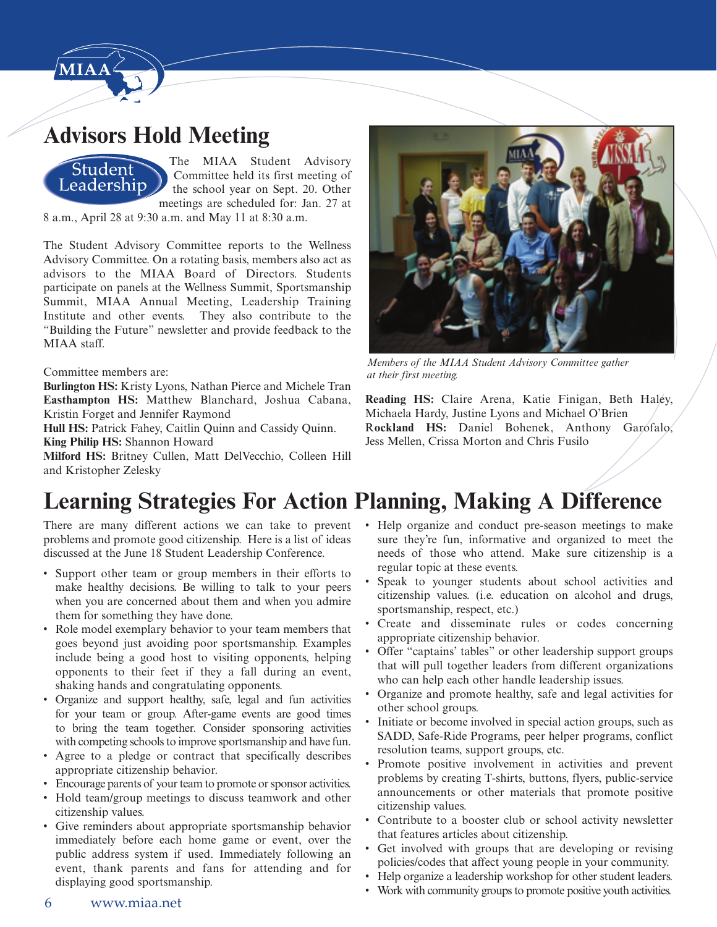

## **Advisors Hold Meeting**



The MIAA Student Advisory Committee held its first meeting of the school year on Sept. 20. Other meetings are scheduled for: Jan. 27 at

8 a.m., April 28 at 9:30 a.m. and May 11 at 8:30 a.m.

The Student Advisory Committee reports to the Wellness Advisory Committee. On a rotating basis, members also act as advisors to the MIAA Board of Directors. Students participate on panels at the Wellness Summit, Sportsmanship Summit, MIAA Annual Meeting, Leadership Training Institute and other events. They also contribute to the "Building the Future" newsletter and provide feedback to the MIAA staff.

### Committee members are:

**Burlington HS:** Kristy Lyons, Nathan Pierce and Michele Tran **Easthampton HS:** Matthew Blanchard, Joshua Cabana, Kristin Forget and Jennifer Raymond

Hull HS: Patrick Fahey, Caitlin Quinn and Cassidy Quinn. **King Philip HS:** Shannon Howard

**Milford HS:** Britney Cullen, Matt DelVecchio, Colleen Hill and Kristopher Zelesky



*Members of the MIAA Student Advisory Committee gather at their first meeting.*

**Reading HS:** Claire Arena, Katie Finigan, Beth Haley, Michaela Hardy, Justine Lyons and Michael O'Brien R**ockland HS:** Daniel Bohenek, Anthony Garofalo, Jess Mellen, Crissa Morton and Chris Fusilo

## **Learning Strategies For Action Planning, Making A Difference**

There are many different actions we can take to prevent problems and promote good citizenship. Here is a list of ideas discussed at the June 18 Student Leadership Conference.

- Support other team or group members in their efforts to make healthy decisions. Be willing to talk to your peers when you are concerned about them and when you admire them for something they have done.
- Role model exemplary behavior to your team members that goes beyond just avoiding poor sportsmanship. Examples include being a good host to visiting opponents, helping opponents to their feet if they a fall during an event, shaking hands and congratulating opponents.
- Organize and support healthy, safe, legal and fun activities for your team or group. After-game events are good times to bring the team together. Consider sponsoring activities with competing schools to improve sportsmanship and have fun.
- Agree to a pledge or contract that specifically describes appropriate citizenship behavior.
- Encourage parents of your team to promote or sponsor activities.
- Hold team/group meetings to discuss teamwork and other citizenship values.
- Give reminders about appropriate sportsmanship behavior immediately before each home game or event, over the public address system if used. Immediately following an event, thank parents and fans for attending and for displaying good sportsmanship.
- Help organize and conduct pre-season meetings to make sure they're fun, informative and organized to meet the needs of those who attend. Make sure citizenship is a regular topic at these events.
- Speak to younger students about school activities and citizenship values. (i.e. education on alcohol and drugs, sportsmanship, respect, etc.)
- Create and disseminate rules or codes concerning appropriate citizenship behavior.
- Offer "captains' tables" or other leadership support groups that will pull together leaders from different organizations who can help each other handle leadership issues.
- Organize and promote healthy, safe and legal activities for other school groups.
- Initiate or become involved in special action groups, such as SADD, Safe-Ride Programs, peer helper programs, conflict resolution teams, support groups, etc.
- Promote positive involvement in activities and prevent problems by creating T-shirts, buttons, flyers, public-service announcements or other materials that promote positive citizenship values.
- Contribute to a booster club or school activity newsletter that features articles about citizenship.
- Get involved with groups that are developing or revising policies/codes that affect young people in your community.
- Help organize a leadership workshop for other student leaders.
- Work with community groups to promote positive youth activities.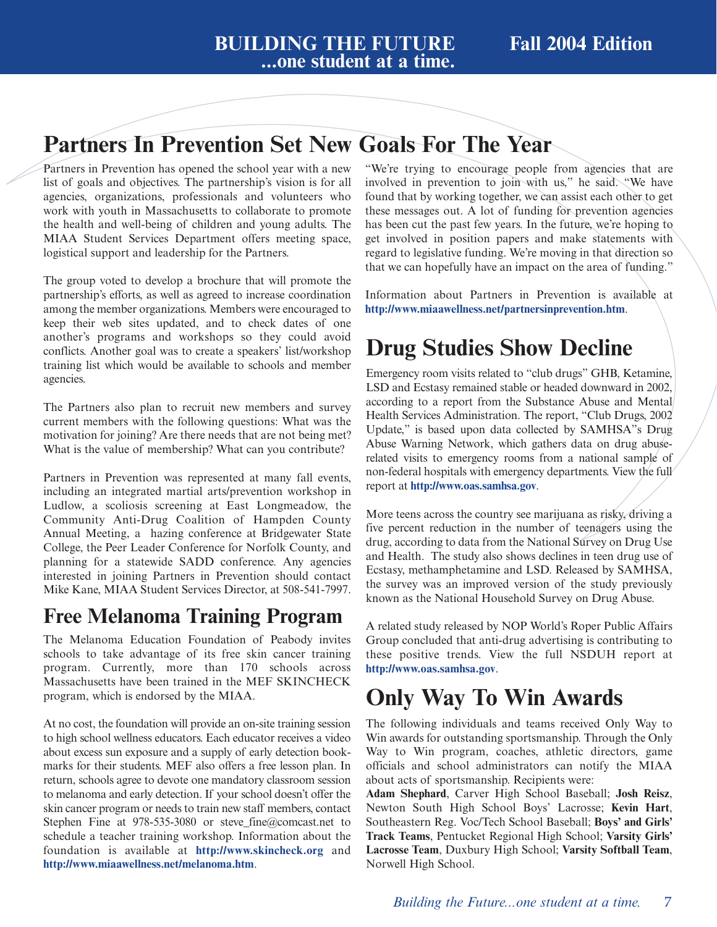## **Partners In Prevention Set New Goals For The Year**

Partners in Prevention has opened the school year with a new list of goals and objectives. The partnership's vision is for all agencies, organizations, professionals and volunteers who work with youth in Massachusetts to collaborate to promote the health and well-being of children and young adults. The MIAA Student Services Department offers meeting space, logistical support and leadership for the Partners.

The group voted to develop a brochure that will promote the partnership's efforts, as well as agreed to increase coordination among the member organizations. Members were encouraged to keep their web sites updated, and to check dates of one another's programs and workshops so they could avoid conflicts. Another goal was to create a speakers' list/workshop training list which would be available to schools and member agencies.

The Partners also plan to recruit new members and survey current members with the following questions: What was the motivation for joining? Are there needs that are not being met? What is the value of membership? What can you contribute?

Partners in Prevention was represented at many fall events, including an integrated martial arts/prevention workshop in Ludlow, a scoliosis screening at East Longmeadow, the Community Anti-Drug Coalition of Hampden County Annual Meeting, a hazing conference at Bridgewater State College, the Peer Leader Conference for Norfolk County, and planning for a statewide SADD conference. Any agencies interested in joining Partners in Prevention should contact Mike Kane, MIAA Student Services Director, at 508-541-7997.

### **Free Melanoma Training Program**

The Melanoma Education Foundation of Peabody invites schools to take advantage of its free skin cancer training program. Currently, more than 170 schools across Massachusetts have been trained in the MEF SKINCHECK program, which is endorsed by the MIAA.

At no cost, the foundation will provide an on-site training session to high school wellness educators. Each educator receives a video about excess sun exposure and a supply of early detection bookmarks for their students. MEF also offers a free lesson plan. In return, schools agree to devote one mandatory classroom session to melanoma and early detection. If your school doesn't offer the skin cancer program or needs to train new staff members, contact Stephen Fine at  $978-535-3080$  or steve fine@comcast.net to schedule a teacher training workshop. Information about the foundation is available at **<http://www.skincheck.org>** and **<http://www.miaawellness.net/melanoma.htm>**.

"We're trying to encourage people from agencies that are involved in prevention to join with us," he said. "We have found that by working together, we can assist each other to get these messages out. A lot of funding for prevention agencies has been cut the past few years. In the future, we're hoping to get involved in position papers and make statements with regard to legislative funding. We're moving in that direction so that we can hopefully have an impact on the area of funding."

Information about Partners in Prevention is available at **<http://www.miaawellness.net/partnersinprevention.htm>**.

## **Drug Studies Show Decline**

Emergency room visits related to "club drugs" GHB, Ketamine, LSD and Ecstasy remained stable or headed downward in 2002, according to a report from the Substance Abuse and Mental Health Services Administration. The report, "Club Drugs, 2002 Update," is based upon data collected by SAMHSA"s Drug Abuse Warning Network, which gathers data on drug abuserelated visits to emergency rooms from a national sample of non-federal hospitals with emergency departments. View the full report at **<http://www.oas.samhsa.gov>**.

More teens across the country see marijuana as risky, driving a five percent reduction in the number of teenagers using the drug, according to data from the National Survey on Drug Use and Health. The study also shows declines in teen drug use of Ecstasy, methamphetamine and LSD. Released by SAMHSA, the survey was an improved version of the study previously known as the National Household Survey on Drug Abuse.

A related study released by NOP World's Roper Public Affairs Group concluded that anti-drug advertising is contributing to these positive trends. View the full NSDUH report at **<http://www.oas.samhsa.gov>**.

## **Only Way To Win Awards**

The following individuals and teams received Only Way to Win awards for outstanding sportsmanship. Through the Only Way to Win program, coaches, athletic directors, game officials and school administrators can notify the MIAA about acts of sportsmanship. Recipients were:

**Adam Shephard**, Carver High School Baseball; **Josh Reisz**, Newton South High School Boys' Lacrosse; **Kevin Hart**, Southeastern Reg. Voc/Tech School Baseball; **Boys' and Girls' Track Teams**, Pentucket Regional High School; **Varsity Girls' Lacrosse Team**, Duxbury High School; **Varsity Softball Team**, Norwell High School.